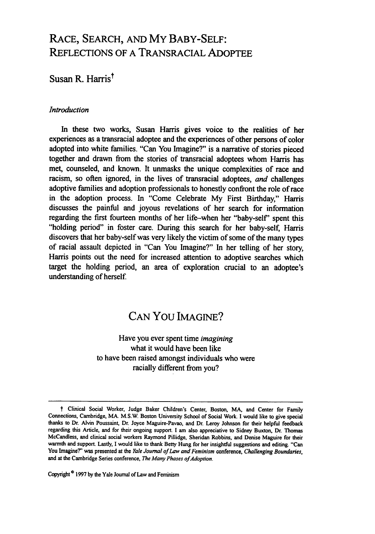# RACE, SEARCH, AND MY BABY-SELF: REFLECTIONS OF A TRANSRACIAL ADOPTEE

### Susan R. Harris<sup>t</sup>

### *Introduction*

In these two works, Susan Harris gives voice to the realities of her experiences as a transracial adoptee and the experiences of other persons of color adopted into white families. "Can You Imagine?" is a narrative of stories pieced together and drawn from the stories of transracial adoptees whom Harris has met, counseled, and known. It unmasks the unique complexities of race and racism, so often ignored, in the lives of transracial adoptees, *and* challenges adoptive families and adoption professionals to honestly confront the role of race in the adoption process. In "Come Celebrate My First Birthday," Harris discusses the painful and joyous revelations of her search for information regarding the first fourteen months of her life-when her "baby-self' spent this "holding period" in foster care. During this search for her baby-self, Harris discovers that her baby-self was very likely the victim of some of the many types of racial assault depicted in "Can You Imagine?" In her telling of her story, Harris points out the need for increased attention to adoptive searches which target the holding period, an area of exploration crucial to an adoptee's understanding of herself

# CAN **You** IMAGINE?

Have you ever spent time *imagining* what it would have been like to have been raised amongst individuals who were racially different from you?

<sup>t</sup>Clinical Social Worker, Judge Baker Children's Center, Boston, MA, and Center for Family Connections, Cambridge, MA. M.S.W. Boston University School of Social Work. I would like to give special thanks to Dr. Alvin Poussaint, Dr. Joyce Maguire-Pavao, and Dr. Leroy Johnson for their helpful feedback regarding this Article, and for their ongoing support. I am also appreciative to Sidney Buxton, Dr. Thomas McCandless, and clinical social workers Raymond Pillidge, Sheridan Robbins, and Denise Maguire for their warmth and support. Lastly, I would like to thank Betty Hung for her insightful suggestions and editing. "Can You Imagine?' was presented at the *Yale Journal of* Lav and Feminism conference, Challenging *Boundaries,* and at the Cambridge Series conference, *The Many Phases of Adoption*.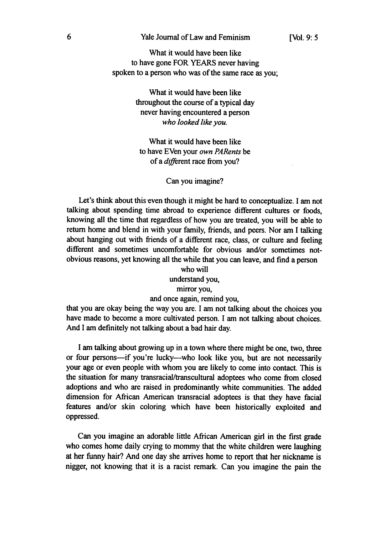What it would have been like to have gone FOR YEARS never having spoken to a person who was of the same race as you;

> What it would have been like throughout the course of a typical day never having encountered a person *who looked like you.*

What it would have been like to have EVen your *own PARents* be of a different race from you?

Can you imagine?

Let's think about this even though it might be hard to conceptualize. I am not talking about spending time abroad to experience different cultures or foods, knowing all the time that regardless of how you are treated, you will be able to return home and blend in with your family, friends, and peers. Nor am I talking about hanging out with friends of a different race, class, or culture and feeling different and sometimes uncomfortable for obvious and/or sometimes notobvious reasons, yet knowing all the while that you can leave, and find a person

> who will understand you, mirror you, and once again, remind you,

that you are okay being the way you are. I am not talking about the choices you have made to become a more cultivated person. I am not talking about choices. And I am definitely not talking about a bad hair day.

I am talking about growing up in a town where there might be one, two, three or four persons-if you're lucky-who look like you, but are not necessarily your age or even people with whom you are likely to come into contact. This is the situation for many transracial/transcultural adoptees who come from closed adoptions and who are raised in predominantly white communities. The added dimension for African American transracial adoptees is that they have facial features and/or skin coloring which have been historically exploited and oppressed.

Can you imagine an adorable little African American girl in the first grade who comes home daily crying to mommy that the white children were laughing at her funny hair? And one day she arrives home to report that her nickname is nigger, not knowing that it is a racist remark. Can you imagine the pain the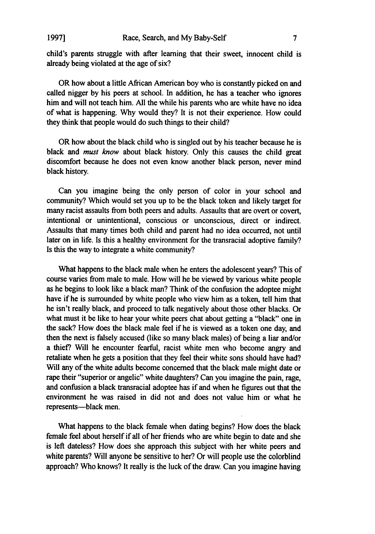child's parents struggle with after learning that their sweet, innocent child is already being violated at the age of six?

OR how about a little African American boy who is constantly picked on and called nigger by his peers at school. In addition, he has a teacher who ignores him and will not teach him. All the while his parents who are white have no idea of what is happening. Why would they? It is not their experience. How could they think that people would do such things to their child?

OR how about the black child who is singled out by his teacher because he is black and *must know* about black history. Only this causes the child great discomfort because he does not even know another black person, never mind black history.

Can you imagine being the only person of color in your school and community? Which would set you up to be the black token and likely target for many racist assaults from both peers and adults. Assaults that are overt or covert, intentional or unintentional, conscious or unconscious, direct or indirect. Assaults that many times both child and parent had no idea occurred, not until later on in life. Is this a healthy environment for the transracial adoptive family? Is this the way to integrate a white community?

What happens to the black male when he enters the adolescent years? This of course varies from male to male. How will he be viewed by various white people as he begins to look like a black man? Think of the confusion the adoptee might have if he is surrounded by white people who view him as a token, tell him that he isn't really black, and proceed to talk negatively about those other blacks. Or what must it be like to hear your white peers chat about getting a "black" one in the sack? How does the black male feel if he is viewed as a token one day, and then the next is falsely accused (like so many black males) of being a liar and/or a thief? Will he encounter fearful, racist white men who become angry and retaliate when he gets a position that they feel their white sons should have had? Will any of the white adults become concerned that the black male might date or rape their "superior or angelic" white daughters? Can you imagine the pain, rage, and confusion a black transracial adoptee has if and when he figures out that the environment he was raised in did not and does not value him or what he represents-black men.

What happens to the black female when dating begins? How does the black female feel about herself if all of her friends who are white begin to date and she is left dateless? How does she approach this subject with her white peers and white parents? Will anyone be sensitive to her? Or will people use the colorblind approach? Who knows? It really is the luck of the draw. Can you imagine having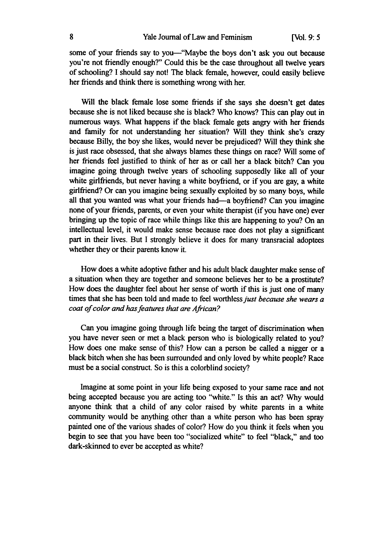some of your friends say to you—"Maybe the boys don't ask you out because you're not friendly enough?" Could this be the case throughout all twelve years of schooling? I should say not! The black female, however, could easily believe her friends and think there is something wrong with her.

Will the black female lose some friends if she says she doesn't get dates because she is not liked because she is black? Who knows? This can play out in numerous ways. What happens if the black female gets angry with her friends and family for not understanding her situation? Will they think she's crazy because Billy, the boy she likes, would never be prejudiced? Will they think she is just race obsessed, that she always blames these things on race? Will some of her friends feel justified to think of her as or call her a black bitch? Can you imagine going through twelve years of schooling supposedly like all of your white girlfriends, but never having a white boyfriend, or if you are gay, a white girlfriend? Or can you imagine being sexually exploited by so many boys, while all that you wanted was what your friends had—a boyfriend? Can you imagine none of your friends, parents, or even your white therapist (if you have one) ever bringing up the topic of race while things like this are happening to you? On an intellectual level, it would make sense because race does not play a significant part in their lives. But I strongly believe it does for many transracial adoptees whether they or their parents know it.

How does a white adoptive father and his adult black daughter make sense of a situation when they are together and someone believes her to be a prostitute? How does the daughter feel about her sense of worth if this is just one of many times that she has been told and made to feel worthless *just because she wears a coat of color and has features that are African?*

Can you imagine going through life being the target of discrimination when you have never seen or met a black person who is biologically related to you? How does one make sense of this? How can a person be called a nigger or a black bitch when she has been surrounded and only loved by white people? Race must be a social construct. So is this a colorblind society?

Imagine at some point in your life being exposed to your same race and not being accepted because you are acting too "white." Is this an act? Why would anyone think that a child of any color raised by white parents in a white community would be anything other than a white person who has been spray painted one of the various shades of color? How do you think it feels when you begin to see that you have been too "socialized white" to feel "black," and too dark-skinned to ever be accepted as white?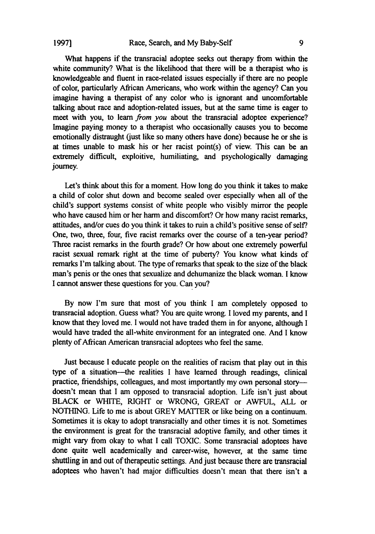What happens if the transracial adoptee seeks out therapy from within the white community? What is the likelihood that there will be a therapist who is knowledgeable and fluent in race-related issues especially if there are no people of color, particularly African Americans, who work within the agency? Can you imagine having a therapist of any color who is ignorant and uncomfortable talking about race and adoption-related issues, but at the same time is eager to meet with you, to learn *from you* about the transracial adoptee experience? Imagine paying money to a therapist who occasionally causes you to become emotionally distraught (just like so many others have done) because he or she is at times unable to mask his or her racist point(s) of view. This can be an extremely difficult, exploitive, humiliating, and psychologically damaging journey.

Let's think about this for a moment. How long do you think it takes to make a child of color shut down and become sealed over especially when all of the child's support systems consist of white people who visibly mirror the people who have caused him or her harm and discomfort? Or how many racist remarks, attitudes, and/or cues do you think it takes to ruin a child's positive sense of self? One, two, three, four, five racist remarks over the course of a ten-year period? Three racist remarks in the fourth grade? Or how about one extremely powerful racist sexual remark right at the time of puberty? You know what kinds of remarks I'm talking about. The type of remarks that speak to the size of the black man's penis or the ones that sexualize and dehumanize the black woman. I know I cannot answer these questions for you. Can you?

By now I'm sure that most of you think I am completely opposed to transracial adoption. Guess what? You are quite wrong. I loved my parents, and I know that they loved me. I would not have traded them in for anyone, although I would have traded the all-white environment for an integrated one. And I know plenty of African American transracial adoptees who feel the same.

Just because I educate people on the realities of racism that play out in this type of a situation-the realities I have learned through readings, clinical practice, friendships, colleagues, and most importantly my own personal storydoesn't mean that **I** am opposed to transracial adoption. Life isn't just about BLACK or WHITE, RIGHT or WRONG, GREAT or AWFUL, ALL or NOTHING. Life to me is about GREY MATIER or like being on a continuum. Sometimes it is okay to adopt transracially and other times it is not. Sometimes the environment is great for the transracial adoptive family, and other times it might vary from okay to what I call TOXIC. Some transracial adoptees have done quite well academically and career-wise, however, at the same time shuttling in and out of therapeutic settings. And just because there are transracial adoptees who haven't had major difficulties doesn't mean that there isn't a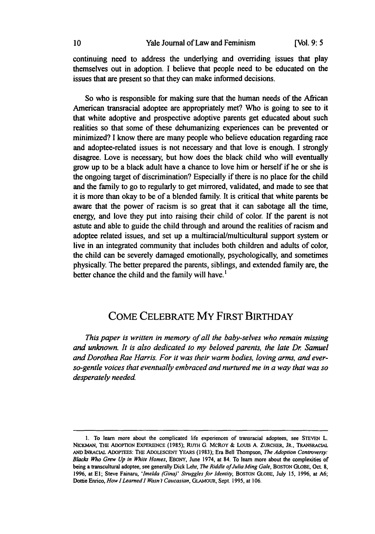continuing need to address the underlying and overriding issues that play themselves out in adoption. I believe that people need to be educated on the issues that are present so that they can make informed decisions.

So who is responsible for making sure that the human needs of the African American transracial adoptee are appropriately met? Who is going to see to it that white adoptive and prospective adoptive parents get educated about such realities so that some of these dehumanizing experiences can be prevented or minimized? I know there are many people who believe education regarding race and adoptee-related issues is not necessary and that love is enough. I strongly disagree. Love is necessary, but how does the black child who will eventually grow up to be a black adult have a chance to love him or herself if he or she is the ongoing target of discrimination? Especially if there is no place for the child and the family to go to regularly to get mirrored, validated, and made to see that it is more than okay to be of a blended family. It is critical that white parents be aware that the power of racism is so great that it can sabotage all the time, energy, and love they put into raising their child of color. If the parent is not astute and able to guide the child through and around the realities of racism and adoptee related issues, and set up a multiracial/multicultural support system or live in an integrated community that includes both children and adults of color, the child can be severely damaged emotionally, psychologically, and sometimes physically. The better prepared the parents, siblings, and extended family are, the better chance the child and the family will have.<sup>1</sup>

## COME CELEBRATE MY FIRST BIRTHDAY

*This paper is written in memory of all the baby-selves who remain missing and unknown. It is also dedicated to my beloved parents, the late Dr Samuel and Dorothea Rae Harris. For it was their warm bodies, loving arms, and everso-gentle voices that eventually embraced and nurtured me in a way that was so desperately needed.*

**<sup>1.</sup>** To learn more about the complicated life experiences of transracial adoptees, see STEvEN L. NIC.MAN, THE ADOPTION ExPERIENCE (1985); **RUTH** G. MCROY & Louis A. **ZuRCHER, JR.,** TRANSRACiAL **AND INRACiAL** ADOPTEES: THE ADOLESCENT YEARS **(1983);** Era Bell Thompson, *The Adoption Controversy: Blacks Who Grew Up in White Homes,* EBONY, June 1974, at 84. To learn more about the complexities of being a transcultural adoptee, see generally Dick Lehr, *The Riddle of Julia Ming Gale,* BOSTON GLOBE, Oct. **8, 1996,** at El; Steve Fainaru, *'Imelda (Gina)' Struggles for Identity,* BOSTON GLOBE, July **15,** 1996, at **A6;** Dottie Enrico, *How I Learned I Wasn Y Caucasian,* GLAMOUR, Sept. 1995, at 106.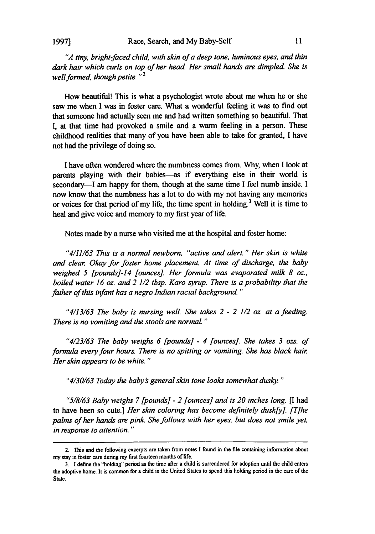#### **1997]**

*"A tiny, bright-faced child, with skin of a deep tone, luminous eyes, and thin dark hair which curls on top of her head. Her small hands are dimpled. She is well formed, though petite.*"<sup>2</sup>

How beautiful! This is what a psychologist wrote about me when he or she saw me when I was in foster care. What a wonderful feeling it was to find out that someone had actually seen me and had written something so beautiful. That I, at that time had provoked a smile and a warm feeling in a person. These childhood realities that many of you have been able to take for granted, I have not had the privilege of doing so.

I have often wondered where the numbness comes from. Why, when I look at parents playing with their babies-as if everything else in their world is secondary—I am happy for them, though at the same time I feel numb inside. I now know that the numbness has a lot to do with my not having any memories or voices for that period of my life, the time spent in holding.<sup>3</sup> Well it is time to heal and give voice and memory to my first year of life.

Notes made by a nurse who visited me at the hospital and foster home:

*"4/11/63 This is a normal newborn, "active and alert." Her skin is white and clear Okay for foster home placement. At time of discharge, the baby weighed 5 [pounds]-14 [ounces]. Her formula was evaporated milk 8 oz., boiled water 16 oz. and 2 1/2 tbsp. Karo syrup. There is a probability that the father of this infant has a negro Indian racial background."*

*"4/13/63 The baby is nursing well. She takes 2* **-** *2 1/2 oz. at a feeding. There is no vomiting and the stools are normal."*

*"4/23/63 The baby weighs 6 [pounds]* **-** *4 [ounces]. She takes 3 ozs. of formula every four hours. There is no spitting or vomiting. She has black hair Her skin appears to be white."*

*"4/30/63 Today the babys general skin tone looks somewhat dusky."*

*"5/8/63 Baby weighs 7 [pounds]* **-** *2 [ounces] and is 20 inches long. [I* had to have been so cute.] *Her skin coloring has become definitely dusk[y]. [T]he palms of her hands are pink. She follows with her eyes, but does not smile yet, in response to attention."*

<sup>2.</sup> **This** and the following excerpts are taken from notes I found in the file containing information about my stay in foster care during my first fourteen months of life.

**<sup>3.</sup> I** define the "holding" period as the time after a child is surrendered for adoption until the child enters the adoptive home. It is common for a child in the United States to spend this holding period in the care of the State.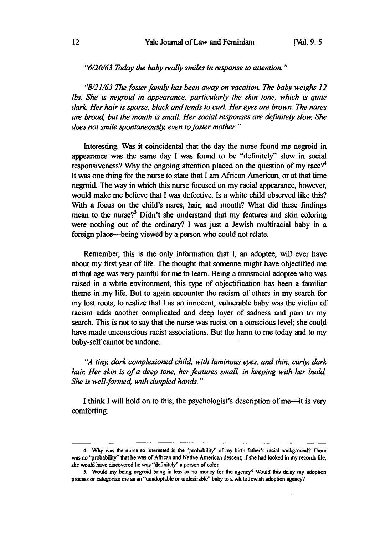#### *"6/20/63 Today the baby really smiles in response to attention."*

*"8/21/63 The foster family has been away on vacation. The baby weighs 12 lbs. She is negroid in appearance, particularly the skin tone, which is quite dark Her hair is sparse, black and tends to curl. Her eyes are brown. The nares are broad, but the mouth is small. Her social responses are definitely slow. She does not smile spontaneously, even to foster mother"*

Interesting. Was it coincidental that the day the nurse found me negroid in appearance was the same day  $\vec{l}$  was found to be "definitely" slow in social responsiveness? Why the ongoing attention placed on the question of my race?<sup>4</sup> It was one thing for the nurse to state that I am African American, or at that time negroid. The way in which this nurse focused on my racial appearance, however, would make me believe that I was defective. Is a white child observed like this? With a focus on the child's nares, hair, and mouth? What did these findings mean to the nurse?<sup>5</sup> Didn't she understand that my features and skin coloring were nothing out of the ordinary? I was just a Jewish multiracial baby in a foreign place-being viewed by a person who could not relate.

Remember, this is the only information that I, an adoptee, will ever have about my first year of life. The thought that someone might have objectified me at that age was very painful for me to learn. Being a transracial adoptee who was raised in a white environment, this type of objectification has been a familiar theme in my life. But to again encounter the racism of others in my search for my lost roots, to realize that I as an innocent, vulnerable baby was the victim of racism adds another complicated and deep layer of sadness and pain to my search. This is not to say that the nurse was racist on a conscious level; she could have made unconscious racist associations. But the harm to me today and to my baby-self cannot be undone.

*"A tiny, dark complexioned child, with luminous eyes, and thin, curly, dark hair Her skin is of a deep tone, her features small, in keeping with her build. She is well-formed, with dimpled hands."*

I think I will hold on to this, the psychologist's description of me-it is very comforting.

<sup>4.</sup> **Why** was the nurse so interested in the "probability" of my birth father's racial background? There was no "probability" that he was of African and Native American descent; if she had looked in my records file, she would have discovered he was "definitely" a person of color.

**S.** Would my being negroid bring in less or no money for the agency? Would this delay my adoption process or categorize me as an "unadoptable or undesirable" baby to a white Jewish adoption agency?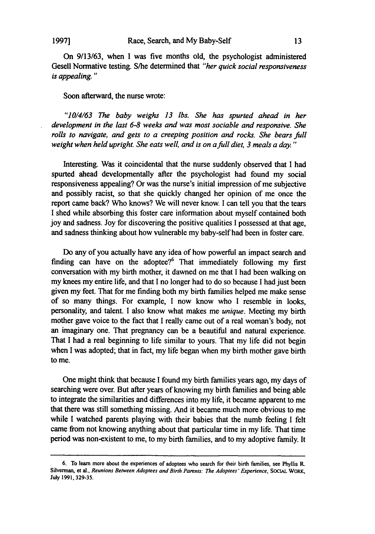On **9/13/63,** when I was five months old, the psychologist administered Gesell Normative testing. S/he determined that *"her quick social responsiveness is appealing."*

#### Soon afterward, the nurse wrote:

*"10/4/63 The baby weighs 13 lbs. She has spurted ahead in her development in the last 6-8 weeks and was most sociable and responsive. She rolls to navigate, and gets to a creeping position and rocks. She bears full weight when held upright. She eats well, and is on afull diet, 3 meals a day."*

Interesting. Was it coincidental that the nurse suddenly observed that **I** had spurted ahead developmentally after the psychologist had found my social responsiveness appealing? Or was the nurse's initial impression of me subjective and possibly racist, so that she quickly changed her opinion of me once the report came back? Who knows? We will never know. I can tell you that the tears I shed while absorbing this foster care information about myself contained both **joy** and sadness. Joy for discovering the positive qualities **I** possessed at that age, and sadness thinking about how vulnerable my baby-self had been in foster care.

Do any of you actually have any idea of how powerful an impact search and finding can have on the adoptee?<sup>6</sup> That immediately following my first conversation with my birth mother, it dawned on me that **I** had been walking on my knees my entire life, and that I no longer had to do so because **I** had just been given my feet. That for me finding both my birth families helped me make sense of so many things. For example, I now know who **I** resemble in looks, personality, and talent. **I** also know what makes me- *unique.* Meeting my birth mother gave voice to the fact that **I** really came out of a real woman's body, not an imaginary one. That pregnancy can be a beautiful and natural experience. That I had a real beginning to life similar to yours. That my life did not begin when I was adopted; that in fact, my life began when my birth mother gave birth to me.

One might think that because **I** found my birth families years ago, my days of searching were over. But after years of knowing my birth families and being able to integrate the similarities and differences into my life, it became apparent to me that there was still something missing. And it became much more obvious to me while **I** watched parents playing with their babies that the numb feeling **I** felt came from not knowing anything about that particular time in my life. That time period was non-existent to me, to my birth families, and to my adoptive family. It

<sup>6.</sup> To learn more about the experiences of adoptees who search for their birth families, see Phyllis R. Silverman, et al., Reunions Between Adoptees and Birth Parents: The *Adoptees' Experience,* **SOCIAL** WORK, July 1991, **329-35.**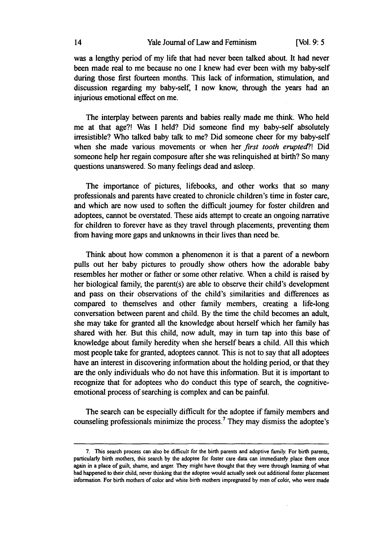was a lengthy period of my life that had never been talked about. It had never been made real to me because no one I knew had ever been with my baby-self during those first fourteen months. This lack of information, stimulation, and discussion regarding my baby-self, I now know, through the years had an injurious emotional effect on me.

The interplay between parents and babies really made me think. Who held me at that age?! Was I held? Did someone find my baby-self absolutely irresistible? Who talked baby talk to me? Did someone cheer for my baby-self when she made various movements or when her *first tooth erupted?!* Did someone help her regain composure after she was relinquished at birth? So many questions unanswered. So many feelings dead and asleep.

The importance of pictures, lifebooks, and other works that so many professionals and parents have created to chronicle children's time in foster care, and which are now used to soften the difficult journey for foster children and adoptees, cannot be overstated. These aids attempt to create an ongoing narrative for children to forever have as they travel through placements, preventing them from having more gaps and unknowns in their lives than need be.

Think about how common a phenomenon it is that a parent of a newborn pulls out her baby pictures to proudly show others how the adorable baby resembles her mother or father or some other relative. When a child is raised by her biological family, the parent(s) are able to observe their child's development and pass on their observations of the child's similarities and differences as compared to themselves and other family members, creating a life-long conversation between parent and child. By the time the child becomes an adult, she may take for granted all the knowledge about herself which her family has shared with her. But this child, now adult, may in turn tap into this base of knowledge about family heredity when she herself bears a child. All this which most people take for granted, adoptees cannot. This is not to say that all adoptees have an interest in discovering information about the holding period, or that they are the only individuals who do not have this information. But it is important to recognize that for adoptees who do conduct this type of search, the cognitiveemotional process of searching is complex and can be painful.

The search can be especially difficult for the adoptee if family members and counseling professionals minimize the process.<sup>7</sup> They may dismiss the adoptee's

**<sup>7.</sup>** This search process can also be difficult for the birth parents and adoptive family. For birth parents, particularly birth mothers, this search **by** the adoptee for foster care data can immediately place them once again in a place of guilt, shame, and anger. They might have thought that they were through learning of what had happened to their child, never thinking that the adoptee would actually seek **out** additional foster placement information. For birth mothers of color and white birth mothers impregnated **by** men of color, who were made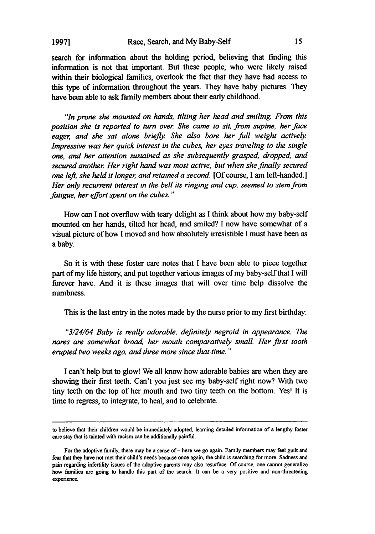search for information about the holding period, believing that finding this information is not that important. But these people, who were likely raised within their biological families, overlook the fact that they have had access to this type of information throughout the years. They have baby pictures. They have been able to ask family members about their early childhood.

*"In prone she mounted on hands, tilting her head and smiling. From this position she is reported to turn over She came to sit, from supine, her face eager, and she sat alone briefly. She also bore her full weight actively Impressive was her quick interest in the cubes, her eyes traveling to the single one, and her attention sustained as she subsequently grasped, dropped, and secured another Her right hand was most active, but when she finally secured one left, she held it longer, and retained a second.* [Of course, I am left-handed.] *Her only recurrent interest in the bell its ringing and cup, seemed to stem from fatigue, her effort spent on the cubes."*

How can I not overflow with teary delight as I think about how my baby-self mounted on her hands, tilted her head, and smiled? I now have somewhat of a visual picture of how I moved and how absolutely irresistible **I** must have been as a baby.

So it is with these foster care notes that I have been able to piece together part of my life history, and put together various images of my baby-self that I will forever have. And it is these images that will over time help dissolve the numbness.

This is the last entry in the notes made **by** the nurse prior to my first birthday:

*"3/24/64 Baby is really adorable, definitely negroid in appearance. The nares are somewhat broad, her mouth comparatively small. Her first tooth erupted two weeks ago, and three more since that time."*

**I** can't help but to glow! We all know how adorable babies are when they are showing their first teeth. Can't you just see my baby-self right now? With two tiny teeth on the top of her mouth and two tiny teeth on the bottom. Yes! It is time to regress, to integrate, to heal, and to celebrate.

to believe that their children would be immediately adopted, learning detailed information of a lengthy foster care stay that is tainted with racism can be additionally painful.

For the adoptive family, there may be a sense of - here we go again. Family members may feel guilt and fear that they have not met their child's needs because once again, the child is searching for more. Sadness and pain regarding infertility issues of the adoptive parents may also resurface. **Of** course, one cannot generalize how families are going to handle this part of the search. It can be a very positive and non-threatening experience.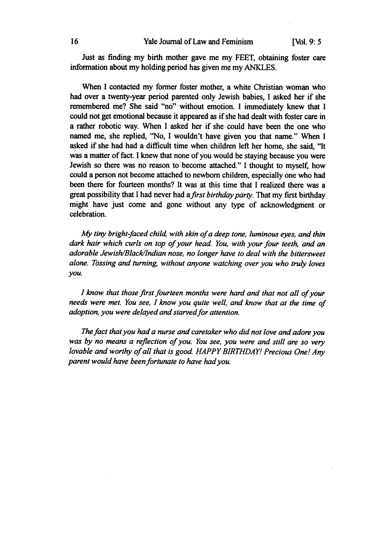Just as finding my birth mother gave me my **FEET,** obtaining foster care information about my holding period has given me my **ANKLES.**

When I contacted my former foster mother, a white Christian woman who had over a twenty-year period parented only Jewish babies, I asked her if she remembered me? She said "no" without emotion. I immediately knew that I could not get emotional because it appeared as if she had dealt with foster care in a rather robotic way. When I asked her if she could have been the one who named me, she replied, "No, **I** wouldn't have given you that name." When I asked if she had had a difficult time when children left her home, she said, "It was a matter of fact. I knew that none of you would be staying because you were Jewish so there was no reason to become attached." I thought to myself, how could a person not become attached to newborn children, especially one who had been there for fourteen months? It was at this time that I realized there was a great possibility that I had never had *afirst birthday party.* That my first birthday might have just come and gone without any type of acknowledgment or celebration.

*My tiny bright-faced child, with skin of a deep tone, luminous eyes, and thin dark hair which curls on top of your head You, with your four teeth, and an adorable Jewish/Black/Indian nose, no longer have to deal with the bittersweet alone. Tossing and turning, without anyone watching over you who truly loves you.*

*I know that those first fourteen months were hard and that not all of your needs were met. You see, I know you quite well, and know that at the time of* adoption, you were delayed and starved for attention.

*The fact that you had a nurse and caretaker who did not love and adore you was by no means a reflection of you. You see, you were and still are so very lovable and worthy of all that is good. HAPPY BIRTHDAY! Precious One! Any parent would have been fortunate to have had you.*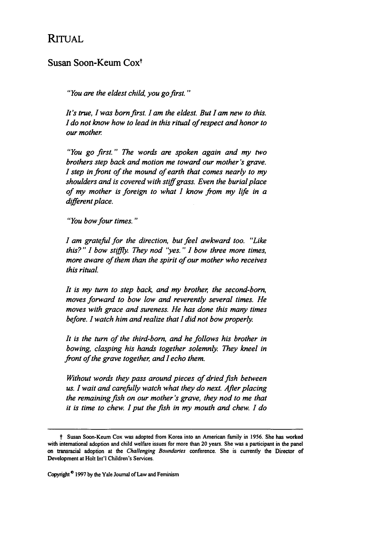### RITUAL

### Susan Soon-Keum Coxt

*"You are the eldest child, you go first."*

*It's true, I was born first. I am the eldest. But I am new to this. I do not know how to lead in this ritual of respect and honor to our mother*

*"You go first." The words are spoken again and my two brothers step back and motion me toward our mother's grave. I step in front of the mound of earth that comes nearly to my shoulders and is covered with stiff grass. Even the burial place of my mother is foreign to what I know from my life in a different place.*

*"You bow four times."*

*I am grateful for the direction, but feel awkward too. "Like this?" I bow stiffly. They nod "yes.* " *I bow three more times, more aware of them than the spirit of our mother who receives this ritual.*

*It is my turn to step back, and my brother, the second-born, moves forward to bow low and reverently several times. He moves with grace and sureness. He has done this many times before. I watch him and realize that I did not bow properly*

*It is the turn of the third-born, and he follows his brother in bowing, clasping his hands together solemnly. They kneel in front of the grave together, and I echo them.*

*Without words they pass around pieces of dried fish between us. I wait and carefully watch what they do next. After placing the remaining fish on our mother's grave, they nod to me that it is time to chew. I put the fish in my mouth and chew. I do*

t Susan Soon-Keum Cox was adopted from Korea into an American family in **1956.** She has worked with international adoption and child welfare issues for more than 20 years. She was a participant in the panel on traaracial adoption at the *Challenging* Boundaries conference. She is currently the Director of Development **at** Holt Int'l Children's Services.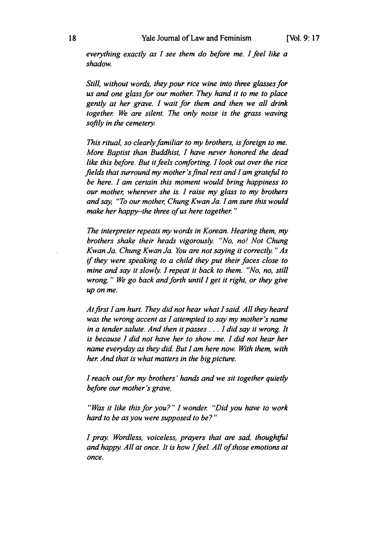*everything exactly as I see them do before me. I feel like a shadow.*

*Still, without words, they pour rice wine into three glasses for us and one glass for our mother They hand it to me to place gently at her grave. I wait for them and then we all drink together We are silent. The only noise is the grass waving softly in the cemetery.*

*This ritual, so clearly familiar to my brothers, is foreign to me. More Baptist than Buddhist, I have never honored the dead like this before. But it feels comforting. I look out over the rice fields that surround my mother 'sfinal rest and I am grateful to be here. I am certain this moment would bring happiness to our mother, wherever she is. I raise my glass to my brothers and say, "To our mother, Chung Kwan Ja. I am sure this would* make her happy-the three of us here together."

*The interpreter repeats my words in Korean. Hearing them, my brothers shake their heads vigorously "No, no! Not Chung Kwan Ja. Chung Kwan Ja. You are not saying it correctly "As if they were speaking to a child they put their faces close to mine and say it slowly. I repeat it back to them. "No, no, still wrong." We go back and forth until I get it right, or they give up on me.*

*At first lam hurt. They did not hear what I said. All they heard was the wrong accent as I attempted to say my mother's name in a tender salute. And then it passes ... I did say it wrong. It is because I did not have her to show me. I did not hear her name everyday as they did. But I am here now. With them, with her And that is what matters in the big picture.*

*I reach out for my brothers' hands and we sit together quietly before our mother's grave.*

*"Was it like this for you? " I wonder "Did you have to work hard to be as you were supposed to be?"*

*I pray. Wordless, voiceless, prayers that are sad, thoughtful and happy All at once. It is how Ifeel. All of those emotions at once.*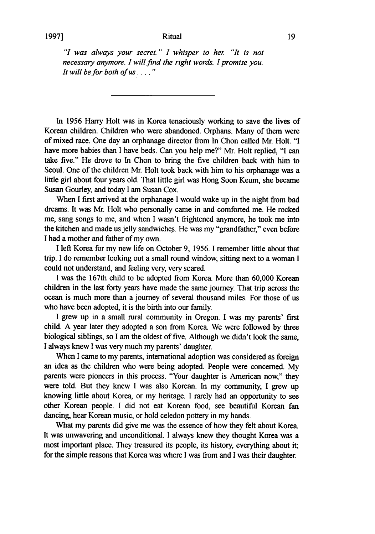*"I was always your secret." I whisper to her "It is not necessary anymore. I will find the right words. I promise you. It will be for both of us.... "*

In 1956 Harry Holt was in Korea tenaciously working to save the lives of Korean children. Children who were abandoned. Orphans. Many of them were of mixed race. One day an orphanage director from In Chon called Mr. Holt. "I have more babies than I have beds. Can you help me?" Mr. Holt replied, "I can take five." He drove to In Chon to bring the five children back with him to Seoul. One of the children Mr. Holt took back with him to his orphanage was a little girl about four years old. That little girl was Hong Soon Keum, she became Susan Gourley, and today I am Susan Cox.

When I first arrived at the orphanage I would wake up in the night from bad dreams. It was Mr. Holt who personally came in and comforted me. He rocked me, sang songs to me, and when I wasn't frightened anymore, he took me into the kitchen and made us jelly sandwiches. He was my "grandfather," even before I had a mother and father of my own.

I left Korea for my new life on October 9, 1956. I remember little about that trip. I do remember looking out a small round window, sitting next to a woman I could not understand, and feeling very, very scared.

I was the 167th child to be adopted from Korea. More than 60,000 Korean children in the last forty years have made the same journey. That trip across the ocean is much more than a journey of several thousand miles. For those of us who have been adopted, it is the birth into our family.

I grew up in a small rural community in Oregon. I was my parents' first child. A year later they adopted a son from Korea. We were followed by three biological siblings, so I am the oldest of five. Although we didn't look the same, I always knew I was very much my parents' daughter.

When I came to my parents, international adoption was considered as foreign an idea as the children who were being adopted. People were concerned. My parents were pioneers in this process. "Your daughter is American now," they were told. But they knew I was also Korean. In my community, I grew up knowing little about Korea, or my heritage. I rarely had an opportunity to see other Korean people. I did not eat Korean food, see beautiful Korean fan dancing, hear Korean music, or hold celedon pottery in my hands.

What my parents did give me was the essence of how they felt about Korea. It was unwavering and unconditional. I always knew they thought Korea was a most important place. They treasured its people, its history, everything about it; for the simple reasons that Korea was where I was from and I was their daughter.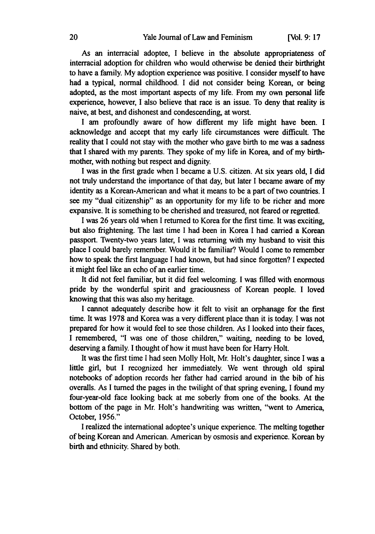As an interracial adoptee, I believe in the absolute appropriateness of interracial adoption for children who would otherwise be denied their birthright to have a family. My adoption experience was positive. I consider myself to have had a typical, normal childhood. I did not consider being Korean, or being adopted, as the most important aspects of my life. From my own personal life experience, however, I also believe that race is an issue. To deny that reality is naive, at best, and dishonest and condescending, at worst.

I am profoundly aware of how different my life might have been. I acknowledge and accept that my early life circumstances were difficult. The reality that I could not stay with the mother who gave birth to me was a sadness that I shared with my parents. They spoke of my life in Korea, and of my birthmother, with nothing but respect and dignity.

I was in the first grade when I became a U.S. citizen. At six years old, I did not truly understand the importance of that day, but later I became aware of my identity as a Korean-American and what it means to be a part of two countries. I see my "dual citizenship" as an opportunity for my life to be richer and more expansive. It is something to be cherished and treasured, not feared or regretted.

I was 26 years old when I returned to Korea for the first time. It was exciting, but also frightening. The last time I had been in Korea I had carried a Korean passport. Twenty-two years later, I was returning with my husband to visit this place I could barely remember. Would it be familiar? Would I come to remember how to speak the first language I had known, but had since forgotten? I expected it might feel like an echo of an earlier time.

It did not feel familiar, but it did feel welcoming. I was filled with enormous pride by the wonderful spirit and graciousness of Korean people. I loved knowing that this was also my heritage.

**I** cannot adequately describe how it felt to visit an orphanage for the first time. It was **1978** and Korea was a very different place than it is today. **I** was not prepared for how it would feel to see those children. As **I** looked into their faces, **I** remembered, **"I** was one of those children," waiting, needing to be loved, deserving a family. **I** thought of how it must have been for Harry Holt.

It was the first time I had seen Molly Holt, Mr. Holt's daughter, since I was a little girl, but I recognized her immediately. We went through old spiral notebooks of adoption records her father had carried around in the bib of his overalls. As I turned the pages in the twilight of that spring evening, I found my four-year-old face looking back at me soberly from one of the books. At the bottom of the page in Mr. Holt's handwriting was written, "went to America, October, **1956."**

**I** realized the international adoptee's unique experience. The melting together of being Korean and American. American **by** osmosis and experience. Korean **by** birth and ethnicity. Shared **by** both.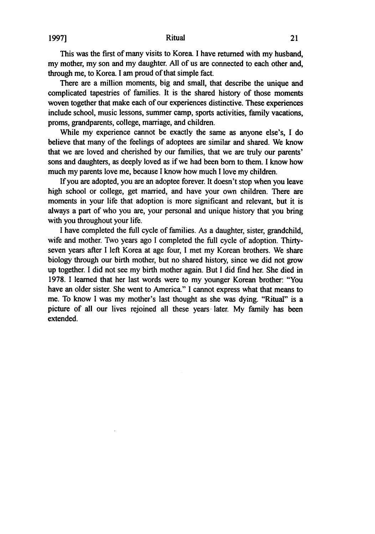This was the first of many visits to Korea. I have returned with my husband, my mother, my son and my daughter. **All** of us are connected to each other and, through me, to Korea I am proud of that simple fact.

There are a million moments, big and small, that describe the unique and complicated tapestries of families. It is the shared history of those moments woven together that make each of our experiences distinctive. These experiences include school, music lessons, summer camp, sports activities, family vacations, proms, grandparents, college, marriage, and children.

While my experience cannot be exactly the same as anyone else's, I do believe that many of the feelings of adoptees are similar and shared. We know that we are loved and cherished **by** our families, that we are truly our parents' sons and daughters, as deeply loved as if we had been born to them. I know how much my parents love me, because **I** know how much I love my children.

If you are adopted, you are an adoptee forever. It doesn't stop when you leave high school or college, get married, and have your own children. There are moments in your life that adoption is more significant and relevant, but it is always a part of who you are, your personal and unique history that you bring with you throughout your life.

I have completed the full cycle of families. As a daughter, sister, grandchild, wife and mother. Two years ago I completed the full cycle of adoption. Thirtyseven years after I left Korea at age four, I met my Korean brothers. We share biology through our birth mother, but no shared history, since we did not grow up together. I did not see my birth mother again. But I did find her. She died in 1978. I learned that her last words were to my younger Korean brother: "You have an older sister. She went to America." I cannot express what that means to me. To know I was my mother's last thought as she was dying. "Ritual" is a picture of all our lives rejoined all these years- later. My family has been extended.